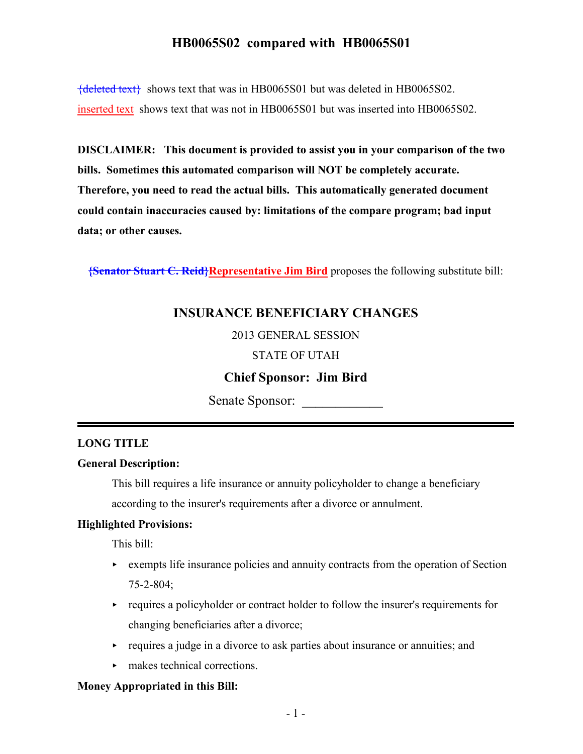${deleted text}$  shows text that was in HB0065S01 but was deleted in HB0065S02. inserted text shows text that was not in HB0065S01 but was inserted into HB0065S02.

**DISCLAIMER: This document is provided to assist you in your comparison of the two bills. Sometimes this automated comparison will NOT be completely accurate. Therefore, you need to read the actual bills. This automatically generated document could contain inaccuracies caused by: limitations of the compare program; bad input data; or other causes.**

**{Senator Stuart C. Reid}Representative Jim Bird** proposes the following substitute bill:

# **INSURANCE BENEFICIARY CHANGES**

2013 GENERAL SESSION

### STATE OF UTAH

# **Chief Sponsor: Jim Bird**

Senate Sponsor:

### **LONG TITLE**

#### **General Description:**

This bill requires a life insurance or annuity policyholder to change a beneficiary

according to the insurer's requirements after a divorce or annulment.

### **Highlighted Provisions:**

This bill:

- $\triangleright$  exempts life insurance policies and annuity contracts from the operation of Section 75-2-804;
- $\rightarrow$  requires a policyholder or contract holder to follow the insurer's requirements for changing beneficiaries after a divorce;
- $\rightarrow$  requires a judge in a divorce to ask parties about insurance or annuities; and
- $\blacktriangleright$  makes technical corrections.

#### **Money Appropriated in this Bill:**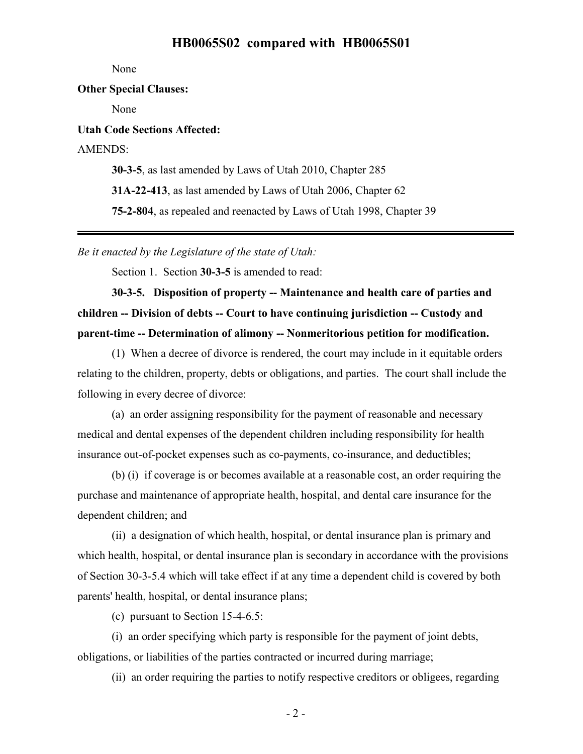None

### **Other Special Clauses:**

None

#### **Utah Code Sections Affected:**

AMENDS:

**30-3-5**, as last amended by Laws of Utah 2010, Chapter 285

**31A-22-413**, as last amended by Laws of Utah 2006, Chapter 62

**75-2-804**, as repealed and reenacted by Laws of Utah 1998, Chapter 39

*Be it enacted by the Legislature of the state of Utah:*

Section 1. Section **30-3-5** is amended to read:

**30-3-5. Disposition of property -- Maintenance and health care of parties and children -- Division of debts -- Court to have continuing jurisdiction -- Custody and parent-time -- Determination of alimony -- Nonmeritorious petition for modification.**

(1) When a decree of divorce is rendered, the court may include in it equitable orders relating to the children, property, debts or obligations, and parties. The court shall include the following in every decree of divorce:

(a) an order assigning responsibility for the payment of reasonable and necessary medical and dental expenses of the dependent children including responsibility for health insurance out-of-pocket expenses such as co-payments, co-insurance, and deductibles;

(b) (i) if coverage is or becomes available at a reasonable cost, an order requiring the purchase and maintenance of appropriate health, hospital, and dental care insurance for the dependent children; and

(ii) a designation of which health, hospital, or dental insurance plan is primary and which health, hospital, or dental insurance plan is secondary in accordance with the provisions of Section 30-3-5.4 which will take effect if at any time a dependent child is covered by both parents' health, hospital, or dental insurance plans;

(c) pursuant to Section 15-4-6.5:

(i) an order specifying which party is responsible for the payment of joint debts, obligations, or liabilities of the parties contracted or incurred during marriage;

(ii) an order requiring the parties to notify respective creditors or obligees, regarding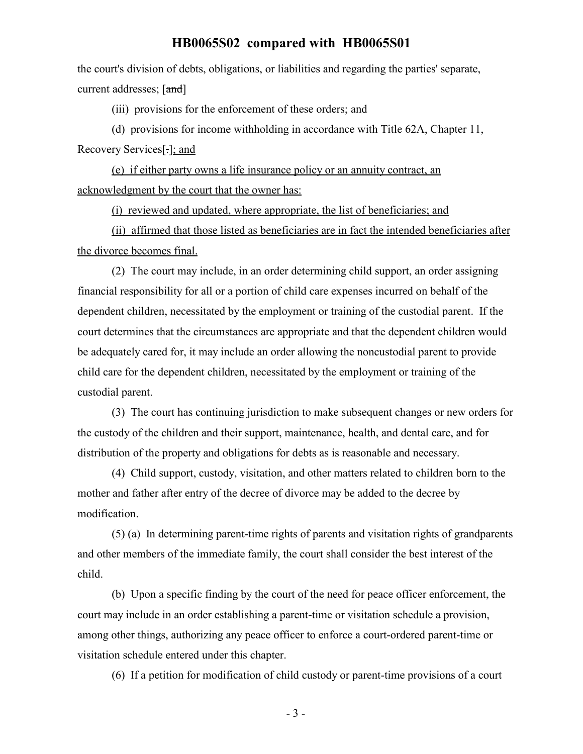the court's division of debts, obligations, or liabilities and regarding the parties' separate, current addresses; [and]

(iii) provisions for the enforcement of these orders; and

(d) provisions for income withholding in accordance with Title 62A, Chapter 11, Recovery Services[.]; and

(e) if either party owns a life insurance policy or an annuity contract, an acknowledgment by the court that the owner has:

(i) reviewed and updated, where appropriate, the list of beneficiaries; and

(ii) affirmed that those listed as beneficiaries are in fact the intended beneficiaries after the divorce becomes final.

(2) The court may include, in an order determining child support, an order assigning financial responsibility for all or a portion of child care expenses incurred on behalf of the dependent children, necessitated by the employment or training of the custodial parent. If the court determines that the circumstances are appropriate and that the dependent children would be adequately cared for, it may include an order allowing the noncustodial parent to provide child care for the dependent children, necessitated by the employment or training of the custodial parent.

(3) The court has continuing jurisdiction to make subsequent changes or new orders for the custody of the children and their support, maintenance, health, and dental care, and for distribution of the property and obligations for debts as is reasonable and necessary.

(4) Child support, custody, visitation, and other matters related to children born to the mother and father after entry of the decree of divorce may be added to the decree by modification.

(5) (a) In determining parent-time rights of parents and visitation rights of grandparents and other members of the immediate family, the court shall consider the best interest of the child.

(b) Upon a specific finding by the court of the need for peace officer enforcement, the court may include in an order establishing a parent-time or visitation schedule a provision, among other things, authorizing any peace officer to enforce a court-ordered parent-time or visitation schedule entered under this chapter.

(6) If a petition for modification of child custody or parent-time provisions of a court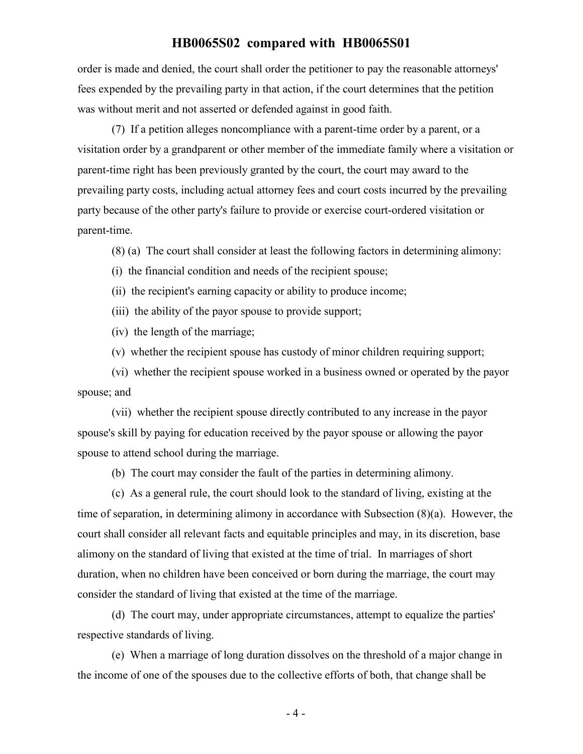order is made and denied, the court shall order the petitioner to pay the reasonable attorneys' fees expended by the prevailing party in that action, if the court determines that the petition was without merit and not asserted or defended against in good faith.

(7) If a petition alleges noncompliance with a parent-time order by a parent, or a visitation order by a grandparent or other member of the immediate family where a visitation or parent-time right has been previously granted by the court, the court may award to the prevailing party costs, including actual attorney fees and court costs incurred by the prevailing party because of the other party's failure to provide or exercise court-ordered visitation or parent-time.

(8) (a) The court shall consider at least the following factors in determining alimony:

- (i) the financial condition and needs of the recipient spouse;
- (ii) the recipient's earning capacity or ability to produce income;
- (iii) the ability of the payor spouse to provide support;

(iv) the length of the marriage;

(v) whether the recipient spouse has custody of minor children requiring support;

(vi) whether the recipient spouse worked in a business owned or operated by the payor spouse; and

(vii) whether the recipient spouse directly contributed to any increase in the payor spouse's skill by paying for education received by the payor spouse or allowing the payor spouse to attend school during the marriage.

(b) The court may consider the fault of the parties in determining alimony.

(c) As a general rule, the court should look to the standard of living, existing at the time of separation, in determining alimony in accordance with Subsection (8)(a). However, the court shall consider all relevant facts and equitable principles and may, in its discretion, base alimony on the standard of living that existed at the time of trial. In marriages of short duration, when no children have been conceived or born during the marriage, the court may consider the standard of living that existed at the time of the marriage.

(d) The court may, under appropriate circumstances, attempt to equalize the parties' respective standards of living.

(e) When a marriage of long duration dissolves on the threshold of a major change in the income of one of the spouses due to the collective efforts of both, that change shall be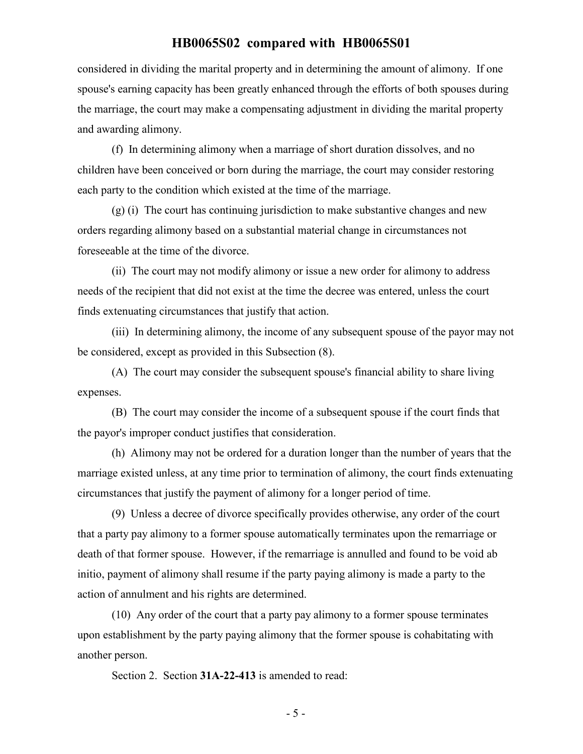considered in dividing the marital property and in determining the amount of alimony. If one spouse's earning capacity has been greatly enhanced through the efforts of both spouses during the marriage, the court may make a compensating adjustment in dividing the marital property and awarding alimony.

(f) In determining alimony when a marriage of short duration dissolves, and no children have been conceived or born during the marriage, the court may consider restoring each party to the condition which existed at the time of the marriage.

 $(g)$  (i) The court has continuing jurisdiction to make substantive changes and new orders regarding alimony based on a substantial material change in circumstances not foreseeable at the time of the divorce.

(ii) The court may not modify alimony or issue a new order for alimony to address needs of the recipient that did not exist at the time the decree was entered, unless the court finds extenuating circumstances that justify that action.

(iii) In determining alimony, the income of any subsequent spouse of the payor may not be considered, except as provided in this Subsection (8).

(A) The court may consider the subsequent spouse's financial ability to share living expenses.

(B) The court may consider the income of a subsequent spouse if the court finds that the payor's improper conduct justifies that consideration.

(h) Alimony may not be ordered for a duration longer than the number of years that the marriage existed unless, at any time prior to termination of alimony, the court finds extenuating circumstances that justify the payment of alimony for a longer period of time.

(9) Unless a decree of divorce specifically provides otherwise, any order of the court that a party pay alimony to a former spouse automatically terminates upon the remarriage or death of that former spouse. However, if the remarriage is annulled and found to be void ab initio, payment of alimony shall resume if the party paying alimony is made a party to the action of annulment and his rights are determined.

(10) Any order of the court that a party pay alimony to a former spouse terminates upon establishment by the party paying alimony that the former spouse is cohabitating with another person.

Section 2. Section **31A-22-413** is amended to read: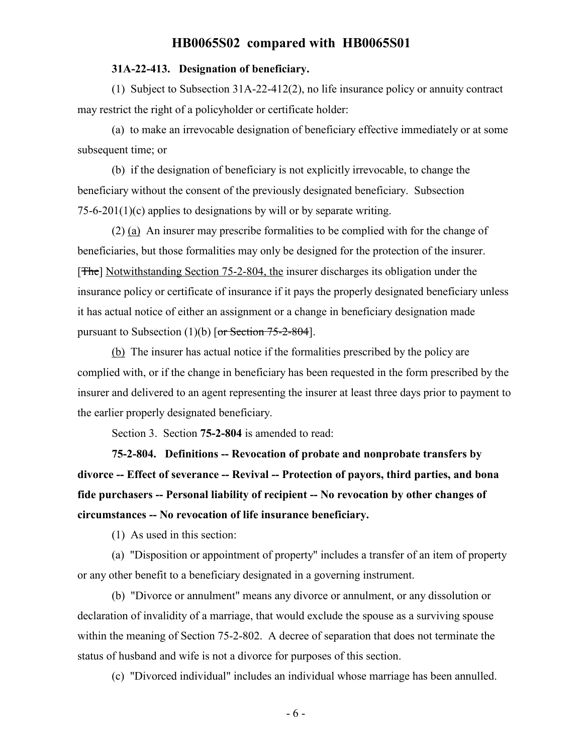#### **31A-22-413. Designation of beneficiary.**

(1) Subject to Subsection 31A-22-412(2), no life insurance policy or annuity contract may restrict the right of a policyholder or certificate holder:

(a) to make an irrevocable designation of beneficiary effective immediately or at some subsequent time; or

(b) if the designation of beneficiary is not explicitly irrevocable, to change the beneficiary without the consent of the previously designated beneficiary. Subsection  $75-6-201(1)(c)$  applies to designations by will or by separate writing.

(2) (a) An insurer may prescribe formalities to be complied with for the change of beneficiaries, but those formalities may only be designed for the protection of the insurer. [<del>The</del>] Notwithstanding Section 75-2-804, the insurer discharges its obligation under the insurance policy or certificate of insurance if it pays the properly designated beneficiary unless it has actual notice of either an assignment or a change in beneficiary designation made pursuant to Subsection  $(1)(b)$  [or Section 75-2-804].

(b) The insurer has actual notice if the formalities prescribed by the policy are complied with, or if the change in beneficiary has been requested in the form prescribed by the insurer and delivered to an agent representing the insurer at least three days prior to payment to the earlier properly designated beneficiary.

Section 3. Section **75-2-804** is amended to read:

**75-2-804. Definitions -- Revocation of probate and nonprobate transfers by divorce -- Effect of severance -- Revival -- Protection of payors, third parties, and bona fide purchasers -- Personal liability of recipient -- No revocation by other changes of circumstances -- No revocation of life insurance beneficiary.**

(1) As used in this section:

(a) "Disposition or appointment of property" includes a transfer of an item of property or any other benefit to a beneficiary designated in a governing instrument.

(b) "Divorce or annulment" means any divorce or annulment, or any dissolution or declaration of invalidity of a marriage, that would exclude the spouse as a surviving spouse within the meaning of Section 75-2-802. A decree of separation that does not terminate the status of husband and wife is not a divorce for purposes of this section.

(c) "Divorced individual" includes an individual whose marriage has been annulled.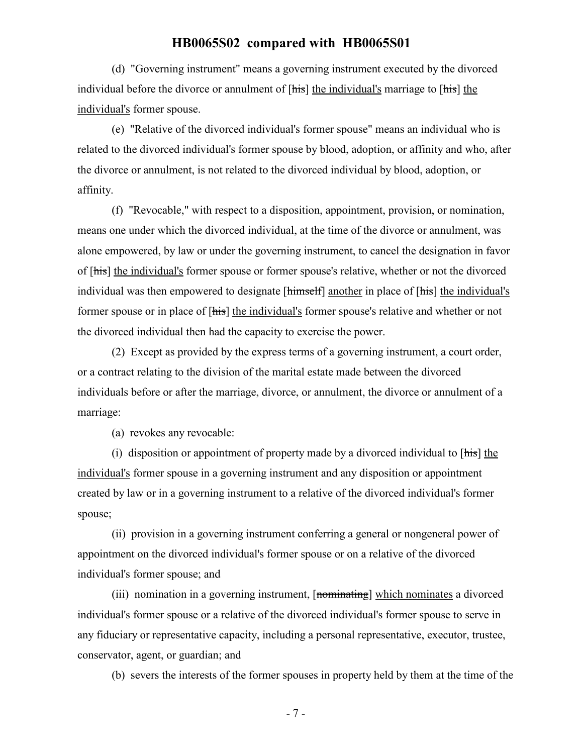(d) "Governing instrument" means a governing instrument executed by the divorced individual before the divorce or annulment of [his] the individual's marriage to [his] the individual's former spouse.

(e) "Relative of the divorced individual's former spouse" means an individual who is related to the divorced individual's former spouse by blood, adoption, or affinity and who, after the divorce or annulment, is not related to the divorced individual by blood, adoption, or affinity.

(f) "Revocable," with respect to a disposition, appointment, provision, or nomination, means one under which the divorced individual, at the time of the divorce or annulment, was alone empowered, by law or under the governing instrument, to cancel the designation in favor of [his] the individual's former spouse or former spouse's relative, whether or not the divorced individual was then empowered to designate [himself] another in place of [his] the individual's former spouse or in place of [his] the individual's former spouse's relative and whether or not the divorced individual then had the capacity to exercise the power.

(2) Except as provided by the express terms of a governing instrument, a court order, or a contract relating to the division of the marital estate made between the divorced individuals before or after the marriage, divorce, or annulment, the divorce or annulment of a marriage:

(a) revokes any revocable:

(i) disposition or appointment of property made by a divorced individual to  $[\overline{\text{his}}]$  the individual's former spouse in a governing instrument and any disposition or appointment created by law or in a governing instrument to a relative of the divorced individual's former spouse;

(ii) provision in a governing instrument conferring a general or nongeneral power of appointment on the divorced individual's former spouse or on a relative of the divorced individual's former spouse; and

(iii) nomination in a governing instrument, [nominating] which nominates a divorced individual's former spouse or a relative of the divorced individual's former spouse to serve in any fiduciary or representative capacity, including a personal representative, executor, trustee, conservator, agent, or guardian; and

(b) severs the interests of the former spouses in property held by them at the time of the

- 7 -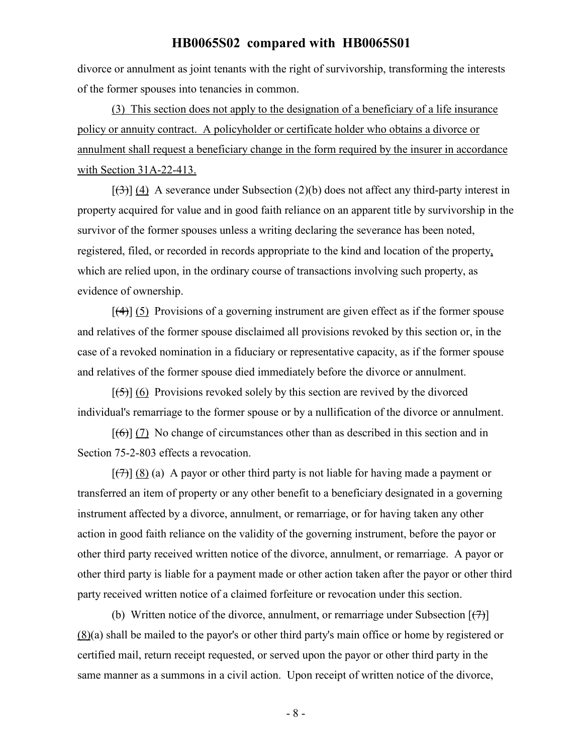divorce or annulment as joint tenants with the right of survivorship, transforming the interests of the former spouses into tenancies in common.

(3) This section does not apply to the designation of a beneficiary of a life insurance policy or annuity contract. A policyholder or certificate holder who obtains a divorce or annulment shall request a beneficiary change in the form required by the insurer in accordance with Section 31A-22-413.

 $[\frac{(3)}{(4)}]$  (4) A severance under Subsection (2)(b) does not affect any third-party interest in property acquired for value and in good faith reliance on an apparent title by survivorship in the survivor of the former spouses unless a writing declaring the severance has been noted, registered, filed, or recorded in records appropriate to the kind and location of the property, which are relied upon, in the ordinary course of transactions involving such property, as evidence of ownership.

 $[\frac{(4)}{(6)}]$  (5) Provisions of a governing instrument are given effect as if the former spouse and relatives of the former spouse disclaimed all provisions revoked by this section or, in the case of a revoked nomination in a fiduciary or representative capacity, as if the former spouse and relatives of the former spouse died immediately before the divorce or annulment.

 $[\frac{1}{5}]$  (6) Provisions revoked solely by this section are revived by the divorced individual's remarriage to the former spouse or by a nullification of the divorce or annulment.

 $[(6)] (7)$  No change of circumstances other than as described in this section and in Section 75-2-803 effects a revocation.

 $[\overline{7}](8)$  (a) A payor or other third party is not liable for having made a payment or transferred an item of property or any other benefit to a beneficiary designated in a governing instrument affected by a divorce, annulment, or remarriage, or for having taken any other action in good faith reliance on the validity of the governing instrument, before the payor or other third party received written notice of the divorce, annulment, or remarriage. A payor or other third party is liable for a payment made or other action taken after the payor or other third party received written notice of a claimed forfeiture or revocation under this section.

(b) Written notice of the divorce, annulment, or remarriage under Subsection  $[\overline{(7)}]$ (8)(a) shall be mailed to the payor's or other third party's main office or home by registered or certified mail, return receipt requested, or served upon the payor or other third party in the same manner as a summons in a civil action. Upon receipt of written notice of the divorce,

- 8 -